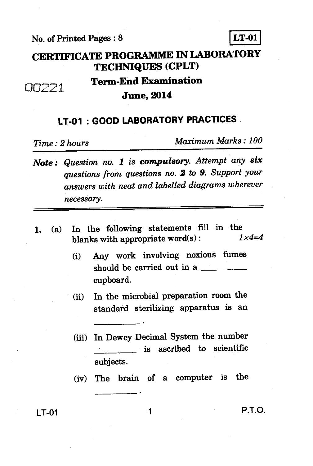**No. of Printed Pages : 8 LT-01** 



## **CERTIFICATE PROGRAMME IN LABORATORY TECHNIQUES (CPLT)**

## 00221

**Term-End Examination June, 2014** 

## **LT-01 : GOOD LABORATORY PRACTICES**

*Time : 2 hours Maximum Marks : 100* 

- *Note : Question no. 1 is compulsory. Attempt any six questions from questions no. 2 to 9. Support your answers with neat and labelled diagrams wherever necessary.*
- **1.** (a) In the following statements fill in the blocks with appropriate word(s)  $1 \times 4 = 4$ blanks with appropriate word(s):
	- **(i) Any work involving noxious fumes should be carried out in a cupboard.**
	- **(ii) In the microbial preparation room the standard sterilizing apparatus is an**
	- **(iii) In Dewey Decimal System the number is ascribed to scientific subjects.**
	- **(iv) The brain of a computer is the**

**LT-01 1 P.T.O.**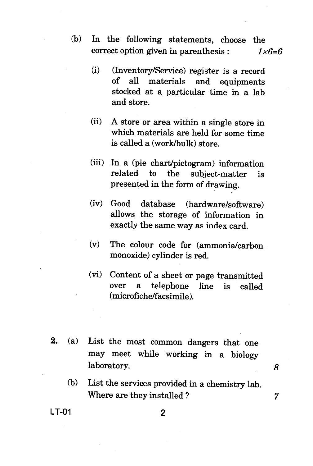- (b) In the following statements, choose the correct option given in parenthesis : *1x6=6* 
	- (i) (Inventory/Service) register is a record of all materials and equipments stocked at a particular time in a lab and store.
	- (ii) A store or area within a single store in which materials are held for some time is called a (work/bulk) store.
	- (iii) In a (pie chart/pictogram) information related to the subject-matter is presented in the form of drawing.
	- (iv) Good database (hardware/software) allows the storage of information in exactly the same way as index card.
	- (v) The colour code for (ammonia/carbon monoxide) cylinder is red.
	- (vi) Content of a sheet or page transmitted over a telephone line is called (microfiche/facsimile).
- **2.** (a) List the most common dangers that one may meet while working in a biology laboratory. *8* 
	- (b) List the services provided in a chemistry lab. Where are they installed ? 7

**LT-01 2**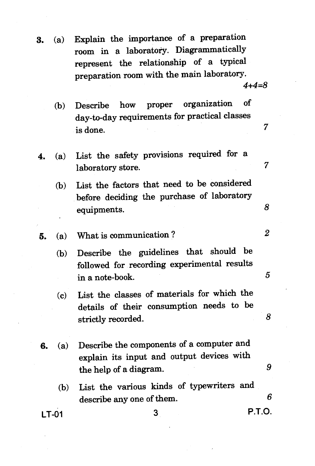**3.** (a) Explain the importance of a preparation room in a laboratory. Diagrammatically represent the relationship of a typical preparation room with the main laboratory.

*4+4=8* 

- (b) Describe how proper organization of day-to-day requirements for practical classes  $\frac{1}{2}$  is done.  $\frac{1}{2}$   $\frac{1}{2}$   $\frac{1}{2}$   $\frac{1}{2}$   $\frac{1}{2}$   $\frac{1}{2}$   $\frac{1}{2}$   $\frac{1}{2}$   $\frac{1}{2}$   $\frac{1}{2}$   $\frac{1}{2}$   $\frac{1}{2}$   $\frac{1}{2}$   $\frac{1}{2}$   $\frac{1}{2}$   $\frac{1}{2}$   $\frac{1}{2}$   $\frac{1}{2}$   $\frac{1}{2}$   $\frac{1}{2}$   $\$
- **4.** (a) List the safety provisions required for a laboratory store. 7
	- (b) List the factors that need to be considered before deciding the purchase of laboratory equipments. *8*
- **5.** (a) What is communication ? *2* 
	- (b) Describe the guidelines that should be followed for recording experimental results  $\frac{1}{2}$  in a note-book.  $\frac{5}{2}$
	- (c) List the classes of materials for which the details of their consumption needs to be strictly recorded.
- **6.** (a) Describe the components of a computer and explain its input and output devices with the help of a diagram. *9* 
	- (b) List the various kinds of typewriters and describe any one of them. 6

**LT-01** 3 **P.T.O.** 

8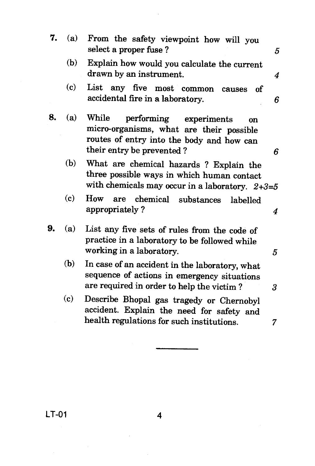| 7. | (a)                         | From the safety viewpoint how will you<br>select a proper fuse?                                                                                                | 5 |
|----|-----------------------------|----------------------------------------------------------------------------------------------------------------------------------------------------------------|---|
|    | (b)                         | Explain how would you calculate the current<br>drawn by an instrument.                                                                                         | 4 |
|    | (c)                         | List any five most common<br>οf<br>causes<br>accidental fire in a laboratory.                                                                                  | 6 |
| 8. | (a)                         | While<br>performing<br>experiments<br>on<br>micro-organisms, what are their possible<br>routes of entry into the body and how can<br>their entry be prevented? | 6 |
|    | (b)                         | What are chemical hazards ? Explain the<br>three possible ways in which human contact<br>with chemicals may occur in a laboratory. $2+3=5$                     |   |
|    | $\left( \mathbf{c} \right)$ | How<br>chemical<br>are<br>substances<br>labelled<br>appropriately?                                                                                             | 4 |
| 9. | (a)                         | List any five sets of rules from the code of<br>practice in a laboratory to be followed while<br>working in a laboratory.                                      | 5 |
|    | (b)                         | In case of an accident in the laboratory, what<br>sequence of actions in emergency situations<br>are required in order to help the victim?                     | 3 |
|    | (c)                         | Describe Bhopal gas tragedy or Chernobyl<br>accident. Explain the need for safety and                                                                          |   |
|    |                             | health regulations for such institutions.                                                                                                                      | 7 |

**LT-01 4** 

l,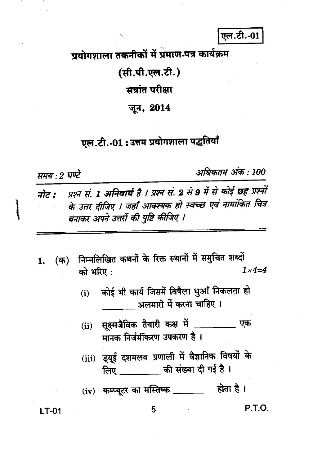## एल.टी.-01

प्रयोगशाला तकनीकों में प्रमाण-पत्र कार्यक्रम

(सी.पी.एल.टी.)

सत्रांत परीक्षा

जून, 2014

एल.टी.-01:उत्तम प्रयोगशाला पद्धतियाँ

समय : २ घण्टे

अधिकतम अंक : 100

- प्रश्न सं. 1 अनिवार्य है । प्रश्न सं. 2 से 9 में से कोई छह प्रश्नों नोट : के उत्तर दीजिए । जहाँ आवश्यक हो स्वच्छ एवं नामांकित चित्र बनाकर अपने उत्तरों की पुष्टि कीजिए ।
- (क) निम्नलिखित कथनों के रिक्त स्थानों में समुचित शब्दों 1.  $1 \times 4 = 4$ को भरिए:
	- कोई भी कार्य जिसमें विषैला धूआँ निकलता हो  $(i)$ अलमारी में करना चाहिए ।
	- सूक्ष्मजैविक तैयारी कक्ष में \_\_\_\_\_\_\_\_\_\_ एक  $(ii)$ मानक निर्जर्मीकरण उपकरण है।
	- (iii) इ्यूई दशमलव प्रणाली में वैज्ञानिक विषयों के लिए \_\_\_\_\_\_\_\_\_\_ की संख्या दी गई है।
	- (iv) कम्प्यूटर का मस्तिष्क \_\_\_\_\_\_\_\_ होता है।

**LT-01** 

P.T.O.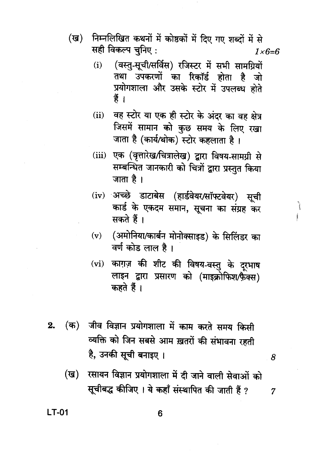- निम्नलिखित कथनों में कोष्ठकों में दिए गए शब्दों में से (ख) सही विकल्प चुनिए :  $1 \times 6 = 6$ 
	- (वस्तु-सूची/सर्विस) रजिस्टर में सभी सामग्रियों  $(i)$ तथा उपकरणों का रिकॉर्ड होता है जो प्रयोगशाला और उसके स्टोर में उपलब्ध होते हैं ।
	- वह स्टोर या एक ही स्टोर के अंदर का वह क्षेत्र  $(ii)$ जिसमें सामान को कुछ समय के लिए रखा जाता है (कार्य/थोक) स्टोर कहलाता है।
	- (iii) एक (वृत्तारेख/चित्रालेख) द्वारा विषय-सामग्री से सम्बन्धित जानकारी को चित्रों द्वारा प्रस्तुत किया जाता है।
	- (iv) अच्छे डाटाबेस (हार्डवेयर/सॉफ्टवेयर) सूची कार्ड के एकदम समान, सूचना का संग्रह कर सकते हैं।
	- (अमोनिया/कार्बन मोनोक्साइड) के सिलिंडर का  $(v)$ वर्ण कोड लाल है ।
	- काग़ज़ की शीट की विषय-वस्तु के दूरभाष  $(vi)$ लाइन द्वारा प्रसारण को (माइक्रोफिश/फैक्स) कहते हैं।
- जीव विज्ञान प्रयोगशाला में काम करते समय किसी (क)  $2.$ व्यक्ति को जिन सबसे आम ख़तरों की संभावना रहती है, उनकी सूची बनाइए ।
- 8

 $\overline{7}$ 

ì

(ख) रसायन विज्ञान प्रयोगशाला में दी जाने वाली सेवाओं को सूचीबद्ध कीजिए । ये कहाँ संस्थापित की जाती हैं ?

**LT-01**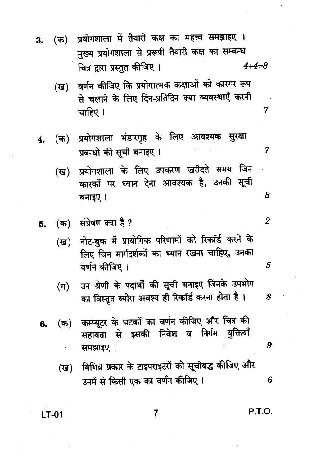- प्रयोगशाला में तैयारी कक्ष का महत्त्व समझाइए ।  $($ क) 3. मुख्य प्रयोगशाला से प्ररूपी तैयारी कक्ष का सम्बन्ध चित्र द्वारा प्रस्तुत कीजिए ।  $4 + 4 = 8$ 
	- वर्णन कीजिए कि प्रयोगात्मक कक्षाओं को कारगर रूप (ख) से चलाने के लिए दिन-प्रतिदिन क्या व्यवस्थाएँ करनी चाहिए ।
- प्रयोगशाला भंडारगृह के लिए आवश्यक सुरक्षा  $(\mathbf{\overline{w}})$ ं 4. प्रबन्धों की सूची बनाइए।
	- प्रयोगशाला के लिए उपकरण खरीदते समय जिन  $(\overline{g})$ कारकों पर ध्यान देना आवश्यक है, उनकी सूची बनाइए ।
- संप्रेषण क्या है ?  $($ क) 5.
	- नोट-बुक में प्रायोगिक परिणामों को रिकॉर्ड करने के  $(\overline{u})$ लिए जिन मार्गदर्शकों का ध्यान रखना चाहिए, उनका वर्णन कीजिए ।
	- उन श्रेणी के पदार्थों की सूची बनाइए जिनके उपभोग  $(\pi)$ का विस्तृत ब्यौरा अवश्य ही रिकॉर्ड करना होता है।
- कम्प्यूटर के घटकों का वर्णन कीजिए और चित्र की  $($ क) 6. सहायता से इसकी निवेश व निर्गम युक्तियाँ समझाइए ।
	- विभिन्न प्रकार के टाइपराइटरों को सूचीबद्ध कीजिए और  $(\overline{u})$ उनमें से किसी एक का वर्णन कीजिए ।

**LT-01** 

P.T.O.

7

 $\overline{7}$ 

8

 $\overline{2}$ 

5

8

9

6

7